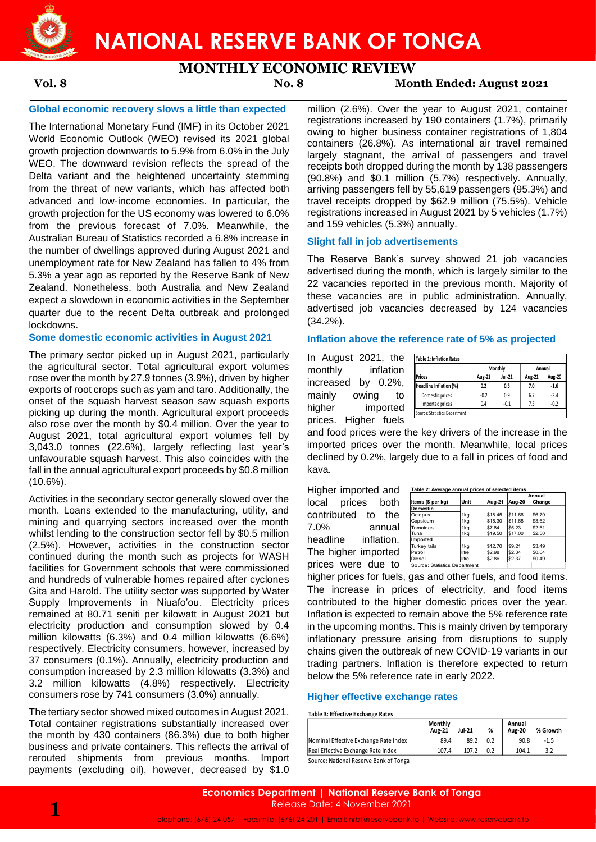

**NATIONAL RESERVE BANK OF TONGA**

# **MONTHLY ECONOMIC REVIEW**

## **Vol. 8 No. 8 Month Ended: August 2021**

## **Global economic recovery slows a little than expected**

The International Monetary Fund (IMF) in its October 2021 World Economic Outlook (WEO) revised its 2021 global growth projection downwards to 5.9% from 6.0% in the July WEO. The downward revision reflects the spread of the Delta variant and the heightened uncertainty stemming from the threat of new variants, which has affected both advanced and low-income economies. In particular, the growth projection for the US economy was lowered to 6.0% from the previous forecast of 7.0%. Meanwhile, the Australian Bureau of Statistics recorded a 6.8% increase in the number of dwellings approved during August 2021 and unemployment rate for New Zealand has fallen to 4% from 5.3% a year ago as reported by the Reserve Bank of New Zealand. Nonetheless, both Australia and New Zealand expect a slowdown in economic activities in the September quarter due to the recent Delta outbreak and prolonged lockdowns.

## **Some domestic economic activities in August 2021**

The primary sector picked up in August 2021, particularly the agricultural sector. Total agricultural export volumes rose over the month by 27.9 tonnes (3.9%), driven by higher exports of root crops such as yam and taro. Additionally, the onset of the squash harvest season saw squash exports picking up during the month. Agricultural export proceeds also rose over the month by \$0.4 million. Over the year to August 2021, total agricultural export volumes fell by 3,043.0 tonnes (22.6%), largely reflecting last year's unfavourable squash harvest. This also coincides with the fall in the annual agricultural export proceeds by \$0.8 million  $(10.6\%)$ .

Activities in the secondary sector generally slowed over the month. Loans extended to the manufacturing, utility, and mining and quarrying sectors increased over the month whilst lending to the construction sector fell by \$0.5 million (2.5%). However, activities in the construction sector continued during the month such as projects for WASH facilities for Government schools that were commissioned and hundreds of vulnerable homes repaired after cyclones Gita and Harold. The utility sector was supported by Water Supply Improvements in Niuafo'ou. Electricity prices remained at 80.71 seniti per kilowatt in August 2021 but electricity production and consumption slowed by 0.4 million kilowatts (6.3%) and 0.4 million kilowatts (6.6%) respectively. Electricity consumers, however, increased by 37 consumers (0.1%). Annually, electricity production and consumption increased by 2.3 million kilowatts (3.3%) and 3.2 million kilowatts (4.8%) respectively. Electricity consumers rose by 741 consumers (3.0%) annually.

The tertiary sector showed mixed outcomes in August 2021. Total container registrations substantially increased over the month by 430 containers (86.3%) due to both higher business and private containers. This reflects the arrival of rerouted shipments from previous months. Import payments (excluding oil), however, decreased by \$1.0

million (2.6%). Over the year to August 2021, container registrations increased by 190 containers (1.7%), primarily owing to higher business container registrations of 1,804 containers (26.8%). As international air travel remained largely stagnant, the arrival of passengers and travel receipts both dropped during the month by 138 passengers (90.8%) and \$0.1 million (5.7%) respectively. Annually, arriving passengers fell by 55,619 passengers (95.3%) and travel receipts dropped by \$62.9 million (75.5%). Vehicle registrations increased in August 2021 by 5 vehicles (1.7%) and 159 vehicles (5.3%) annually.

### **Slight fall in job advertisements**

The Reserve Bank's survey showed 21 job vacancies advertised during the month, which is largely similar to the 22 vacancies reported in the previous month. Majority of these vacancies are in public administration. Annually, advertised job vacancies decreased by 124 vacancies (34.2%).

**Inflation above the reference rate of 5% as projected**

In August 2021, the monthly inflation increased by 0.2%, mainly owing to higher imported prices. Higher fuels

|                        |        | Monthly       | Annual |        |  |
|------------------------|--------|---------------|--------|--------|--|
| <b>Prices</b>          | Aug-21 | <b>Jul-21</b> | Aug-21 | Aug-20 |  |
| Headline Inflation (%) | 0.2    | 0.3           | 7.0    | $-1.6$ |  |
| Domestic prices        | $-0.2$ | 0.9           | 6.7    | $-3.4$ |  |
| Imported prices        | 0.4    | $-0.1$        | 7.3    | $-0.2$ |  |

and food prices were the key drivers of the increase in the imported prices over the month. Meanwhile, local prices declined by 0.2%, largely due to a fall in prices of food and kava.

Higher imported and local prices both contributed to the 7.0% annual headline inflation. The higher imported prices were due to

| Table 2: Average annual prices of selected items |       |         |         |        |  |  |  |
|--------------------------------------------------|-------|---------|---------|--------|--|--|--|
|                                                  |       |         |         | Annual |  |  |  |
| Items (\$ per kg)                                | Unit  | Aug-21  | Aug-20  | Change |  |  |  |
| <b>Domestic</b>                                  |       |         |         |        |  |  |  |
| Octopus                                          | 1kg   | \$18.45 | \$11.66 | \$6.79 |  |  |  |
| Capsicum                                         | 1kg   | \$15.30 | \$11.68 | \$3.62 |  |  |  |
| Tomatoes                                         | 1ka   | \$7.84  | \$5.23  | \$2.61 |  |  |  |
| Tuna                                             | 1kg   | \$19.50 | \$17.00 | \$2.50 |  |  |  |
| Imported                                         |       |         |         |        |  |  |  |
| Turkey tails                                     | 1kg   | \$12.70 | \$9.21  | \$3.49 |  |  |  |
| Petrol                                           | litre | \$2.98  | \$2.34  | \$0.64 |  |  |  |
| Diesel                                           | litre | \$2.86  | \$2.37  | \$0.49 |  |  |  |
| Source: Statistics Department                    |       |         |         |        |  |  |  |

higher prices for fuels, gas and other fuels, and food items. The increase in prices of electricity, and food items contributed to the higher domestic prices over the year. Inflation is expected to remain above the 5% reference rate in the upcoming months. This is mainly driven by temporary inflationary pressure arising from disruptions to supply chains given the outbreak of new COVID-19 variants in our trading partners. Inflation is therefore expected to return below the 5% reference rate in early 2022.

## **Higher effective exchange rates**

### **Table 3: Effective Exchange Rates**

|                                       | Monthly<br><b>Aug-21</b> | Jul-21 | %   | Annual<br><b>Aug-20</b> | % Growth |
|---------------------------------------|--------------------------|--------|-----|-------------------------|----------|
| Nominal Effective Exchange Rate Index | 89.4                     | 89.2   | 0.2 | 90.8                    | -1.5     |
| Real Effective Exchange Rate Index    | 107.4                    | 107.2  | 0.2 | 104.1                   |          |
| .                                     |                          |        |     |                         |          |

Source: National Reserve Bank of Tonga

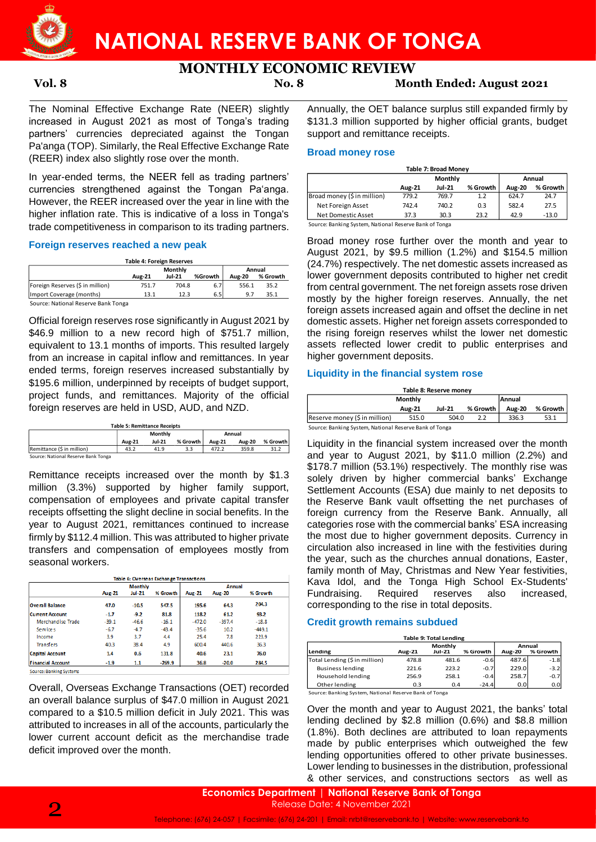

# **MONTHLY ECONOMIC REVIEW**

# **Vol. 8 No. 8 Month Ended: August 2021**

The Nominal Effective Exchange Rate (NEER) slightly increased in August 2021 as most of Tonga's trading partners' currencies depreciated against the Tongan Pa'anga (TOP). Similarly, the Real Effective Exchange Rate (REER) index also slightly rose over the month.

In year-ended terms, the NEER fell as trading partners' currencies strengthened against the Tongan Pa'anga. However, the REER increased over the year in line with the higher inflation rate. This is indicative of a loss in Tonga's trade competitiveness in comparison to its trading partners.

## **Foreign reserves reached a new peak**

| <b>Table 4: Foreign Reserves</b> |                   |               |         |               |          |  |  |  |  |
|----------------------------------|-------------------|---------------|---------|---------------|----------|--|--|--|--|
|                                  | Annual<br>Monthly |               |         |               |          |  |  |  |  |
|                                  | <b>Aug-21</b>     | <b>Jul-21</b> | %Growth | <b>Aug-20</b> | % Growth |  |  |  |  |
| Foreign Reserves (\$ in million) | 751.7             | 704.8         | 6.7     | 556.1         | 35.2     |  |  |  |  |
| Import Coverage (months)         | 13.1              | 12.3          | 6.5     | 9.7           | 35.1     |  |  |  |  |
| $\sim$<br>.                      |                   |               |         |               |          |  |  |  |  |

Source: National Reserve Bank Tonga

Official foreign reserves rose significantly in August 2021 by \$46.9 million to a new record high of \$751.7 million, equivalent to 13.1 months of imports. This resulted largely from an increase in capital inflow and remittances. In year ended terms, foreign reserves increased substantially by \$195.6 million, underpinned by receipts of budget support, project funds, and remittances. Majority of the official foreign reserves are held in USD, AUD, and NZD.

|                                     |               | <b>Table 5: Remittance Receipts</b> |          |               |               |          |
|-------------------------------------|---------------|-------------------------------------|----------|---------------|---------------|----------|
|                                     |               | Monthly                             |          |               | Annual        |          |
|                                     | <b>Aug-21</b> | <b>Jul-21</b>                       | % Growth | <b>Aug-21</b> | <b>Aug-20</b> | % Growth |
| Remittance (\$ in million)          | 43.2          | 41.9                                | 3.3      | 472.2         | 359.8         | 31.2     |
| Source: National Reserve Bank Tonga |               |                                     |          |               |               |          |

Remittance receipts increased over the month by \$1.3 million (3.3%) supported by higher family support, compensation of employees and private capital transfer receipts offsetting the slight decline in social benefits. In the year to August 2021, remittances continued to increase firmly by \$112.4 million. This was attributed to higher private transfers and compensation of employees mostly from seasonal workers.

| Table 6: Overseas Exchange Transactions |                |          |          |               |               |          |  |  |  |
|-----------------------------------------|----------------|----------|----------|---------------|---------------|----------|--|--|--|
|                                         | <b>Monthly</b> |          |          |               | Annual        |          |  |  |  |
|                                         | Aug-21         | $Jul-21$ | % Growth | <b>Aug-21</b> | <b>Aug-20</b> | % Growth |  |  |  |
| Overall Balance                         | 47.0           | $-10.5$  | 547.5    | 195.6         | 64.3          | 204.3    |  |  |  |
| <b>Current Account</b>                  | $-1.7$         | $-9.2$   | 81.8     | 118.2         | 61.2          | 93.2     |  |  |  |
| Merchandise Trade                       | $-39.1$        | $-46.6$  | $-16.1$  | $-472.0$      | $-397.4$      | $-18.8$  |  |  |  |
| Services                                | $-6.7$         | $-4.7$   | $-43.4$  | $-35.6$       | 10.2          | $-449.1$ |  |  |  |
| Income                                  | 3.9            | 3.7      | 4.4      | 25.4          | 7.8           | 223.9    |  |  |  |
| <b>Transfers</b>                        | 40.3           | 38.4     | 4.9      | 600.4         | 440.6         | 36.3     |  |  |  |
| <b>Capital Account</b>                  | 1.4            | 0.6      | 131.8    | 40.6          | 23.1          | 76.0     |  |  |  |
| <b>Financial Account</b>                | $-1.9$         | 1.1      | $-269.9$ | 36.8          | $-20.0$       | 284.5    |  |  |  |

Source: Banking Systems

Overall, Overseas Exchange Transactions (OET) recorded an overall balance surplus of \$47.0 million in August 2021 compared to a \$10.5 million deficit in July 2021. This was attributed to increases in all of the accounts, particularly the lower current account deficit as the merchandise trade deficit improved over the month.

Annually, the OET balance surplus still expanded firmly by \$131.3 million supported by higher official grants, budget support and remittance receipts.

### **Broad money rose**

| <b>Table 7: Broad Money</b>                            |               |               |          |               |          |  |  |
|--------------------------------------------------------|---------------|---------------|----------|---------------|----------|--|--|
|                                                        |               | Monthly       |          | Annual        |          |  |  |
|                                                        | <b>Aug-21</b> | <b>Jul-21</b> | % Growth | <b>Aug-20</b> | % Growth |  |  |
| Broad money (\$ in million)                            | 779.2         | 769.7         | 1.2      | 624.7         | 24.7     |  |  |
| Net Foreign Asset                                      | 742.4         | 740.2         | 0.3      | 582.4         | 27.5     |  |  |
| Net Domestic Asset                                     | 37.3          | 30.3          | 23.2     | 42.9          | $-13.0$  |  |  |
| Source: Banking System, National Reserve Bank of Tonga |               |               |          |               |          |  |  |

Broad money rose further over the month and year to August 2021, by \$9.5 million (1.2%) and \$154.5 million (24.7%) respectively. The net domestic assets increased as lower government deposits contributed to higher net credit from central government. The net foreign assets rose driven mostly by the higher foreign reserves. Annually, the net foreign assets increased again and offset the decline in net domestic assets. Higher net foreign assets corresponded to the rising foreign reserves whilst the lower net domestic assets reflected lower credit to public enterprises and higher government deposits. Table 7: **Table 7: Remain that** The Real in the MEER fell as trading partners'<br>
The Microseton over the year in line with the<br>
Receipt Asset and Tong's and Tong The Section Reserves and Tong 21 and 2021<br>
1979 2 7937<br>
1979

## **Liquidity in the financial system rose**

| Table 8: Reserve money |         |  |               |               |  |  |  |  |
|------------------------|---------|--|---------------|---------------|--|--|--|--|
|                        |         |  |               |               |  |  |  |  |
| <b>Aug-21</b>          | Jul-21  |  | <b>Aug-20</b> | % Growth      |  |  |  |  |
| 515.0                  | 504.0   |  | 336.3         | 53.1          |  |  |  |  |
|                        | Monthly |  | % Growth      | <b>Annual</b> |  |  |  |  |

Source: Banking System, National Reserve Bank of Tonga

Liquidity in the financial system increased over the month and year to August 2021, by \$11.0 million (2.2%) and \$178.7 million (53.1%) respectively. The monthly rise was solely driven by higher commercial banks' Exchange Settlement Accounts (ESA) due mainly to net deposits to the Reserve Bank vault offsetting the net purchases of foreign currency from the Reserve Bank. Annually, all categories rose with the commercial banks' ESA increasing the most due to higher government deposits. Currency in circulation also increased in line with the festivities during the year, such as the churches annual donations, Easter, family month of May, Christmas and New Year festivities, Kava Idol, and the Tonga High School Ex-Students' Fundraising. Required reserves also increased, corresponding to the rise in total deposits.

## **Credit growth remains subdued**

| <b>Table 9: Total Lending</b>                                                        |       |       |         |       |        |  |  |
|--------------------------------------------------------------------------------------|-------|-------|---------|-------|--------|--|--|
| Monthly<br>Annual<br>% Growth<br>Lending<br>Jul-21<br><b>Aug-20</b><br><b>Aug-21</b> |       |       |         |       |        |  |  |
| Total Lending (\$ in million)                                                        | 478.8 | 481.6 | $-0.6$  | 487.6 | $-1.8$ |  |  |
| <b>Business lending</b>                                                              | 221.6 | 223.2 | $-0.7$  | 229.0 | $-3.2$ |  |  |
| Household lending                                                                    | 256.9 | 258.1 | $-0.4$  | 258.7 | $-0.7$ |  |  |
| Other lending                                                                        | 0.3   | 0.4   | $-24.4$ | 0.0   | 0.0    |  |  |

Source: Banking System, National Reserve Bank of Tonga

Over the month and year to August 2021, the banks' total lending declined by \$2.8 million (0.6%) and \$8.8 million (1.8%). Both declines are attributed to loan repayments made by public enterprises which outweighed the few lending opportunities offered to other private businesses. Lower lending to businesses in the distribution, professional & other services, and constructions sectors as well as